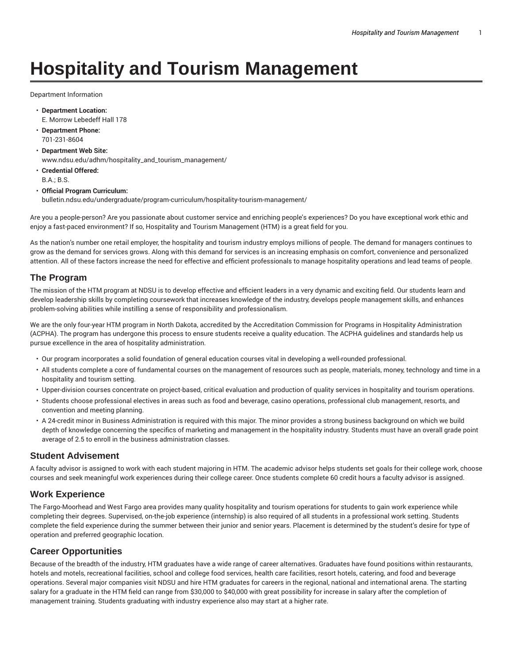# **Hospitality and Tourism Management**

Department Information

- **Department Location:** E. Morrow Lebedeff Hall 178
- **Department Phone:** 701-231-8604
- **Department Web Site:** www.ndsu.edu/adhm/hospitality\_and\_tourism\_management/
- **Credential Offered:** B.A.; B.S.

#### • **Official Program Curriculum:**

bulletin.ndsu.edu/undergraduate/program-curriculum/hospitality-tourism-management/

Are you a people-person? Are you passionate about customer service and enriching people's experiences? Do you have exceptional work ethic and enjoy a fast-paced environment? If so, Hospitality and Tourism Management (HTM) is a great field for you.

As the nation's number one retail employer, the hospitality and tourism industry employs millions of people. The demand for managers continues to grow as the demand for services grows. Along with this demand for services is an increasing emphasis on comfort, convenience and personalized attention. All of these factors increase the need for effective and efficient professionals to manage hospitality operations and lead teams of people.

#### **The Program**

The mission of the HTM program at NDSU is to develop effective and efficient leaders in a very dynamic and exciting field. Our students learn and develop leadership skills by completing coursework that increases knowledge of the industry, develops people management skills, and enhances problem-solving abilities while instilling a sense of responsibility and professionalism.

We are the only four-year HTM program in North Dakota, accredited by the Accreditation Commission for Programs in Hospitality Administration (ACPHA). The program has undergone this process to ensure students receive a quality education. The ACPHA guidelines and standards help us pursue excellence in the area of hospitality administration.

- Our program incorporates a solid foundation of general education courses vital in developing a well-rounded professional.
- All students complete a core of fundamental courses on the management of resources such as people, materials, money, technology and time in a hospitality and tourism setting.
- Upper-division courses concentrate on project-based, critical evaluation and production of quality services in hospitality and tourism operations.
- Students choose professional electives in areas such as food and beverage, casino operations, professional club management, resorts, and convention and meeting planning.
- A 24-credit minor in Business Administration is required with this major. The minor provides a strong business background on which we build depth of knowledge concerning the specifics of marketing and management in the hospitality industry. Students must have an overall grade point average of 2.5 to enroll in the business administration classes.

### **Student Advisement**

A faculty advisor is assigned to work with each student majoring in HTM. The academic advisor helps students set goals for their college work, choose courses and seek meaningful work experiences during their college career. Once students complete 60 credit hours a faculty advisor is assigned.

### **Work Experience**

The Fargo-Moorhead and West Fargo area provides many quality hospitality and tourism operations for students to gain work experience while completing their degrees. Supervised, on-the-job experience (internship) is also required of all students in a professional work setting. Students complete the field experience during the summer between their junior and senior years. Placement is determined by the student's desire for type of operation and preferred geographic location.

### **Career Opportunities**

Because of the breadth of the industry, HTM graduates have a wide range of career alternatives. Graduates have found positions within restaurants, hotels and motels, recreational facilities, school and college food services, health care facilities, resort hotels, catering, and food and beverage operations. Several major companies visit NDSU and hire HTM graduates for careers in the regional, national and international arena. The starting salary for a graduate in the HTM field can range from \$30,000 to \$40,000 with great possibility for increase in salary after the completion of management training. Students graduating with industry experience also may start at a higher rate.